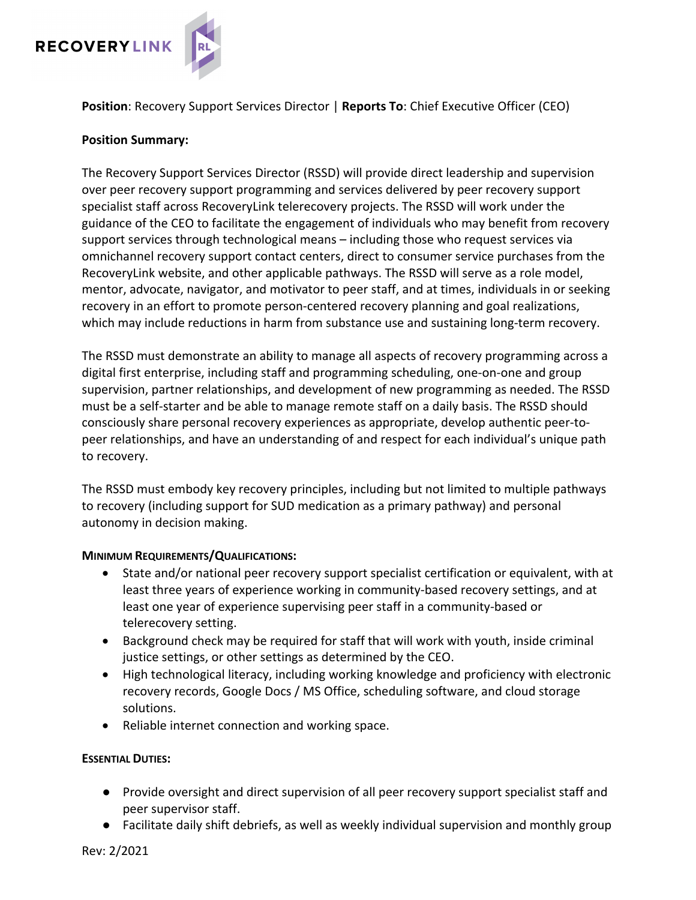

**Position**: Recovery Support Services Director | **Reports To**: Chief Executive Officer (CEO)

### **Position Summary:**

The Recovery Support Services Director (RSSD) will provide direct leadership and supervision over peer recovery support programming and services delivered by peer recovery support specialist staff across RecoveryLink telerecovery projects. The RSSD will work under the guidance of the CEO to facilitate the engagement of individuals who may benefit from recovery support services through technological means – including those who request services via omnichannel recovery support contact centers, direct to consumer service purchases from the RecoveryLink website, and other applicable pathways. The RSSD will serve as a role model, mentor, advocate, navigator, and motivator to peer staff, and at times, individuals in or seeking recovery in an effort to promote person-centered recovery planning and goal realizations, which may include reductions in harm from substance use and sustaining long-term recovery.

The RSSD must demonstrate an ability to manage all aspects of recovery programming across a digital first enterprise, including staff and programming scheduling, one-on-one and group supervision, partner relationships, and development of new programming as needed. The RSSD must be a self-starter and be able to manage remote staff on a daily basis. The RSSD should consciously share personal recovery experiences as appropriate, develop authentic peer-topeer relationships, and have an understanding of and respect for each individual's unique path to recovery.

The RSSD must embody key recovery principles, including but not limited to multiple pathways to recovery (including support for SUD medication as a primary pathway) and personal autonomy in decision making.

### **MINIMUM REQUIREMENTS/QUALIFICATIONS:**

- State and/or national peer recovery support specialist certification or equivalent, with at least three years of experience working in community-based recovery settings, and at least one year of experience supervising peer staff in a community-based or telerecovery setting.
- Background check may be required for staff that will work with youth, inside criminal justice settings, or other settings as determined by the CEO.
- High technological literacy, including working knowledge and proficiency with electronic recovery records, Google Docs / MS Office, scheduling software, and cloud storage solutions.
- Reliable internet connection and working space.

### **ESSENTIAL DUTIES:**

- Provide oversight and direct supervision of all peer recovery support specialist staff and peer supervisor staff.
- Facilitate daily shift debriefs, as well as weekly individual supervision and monthly group